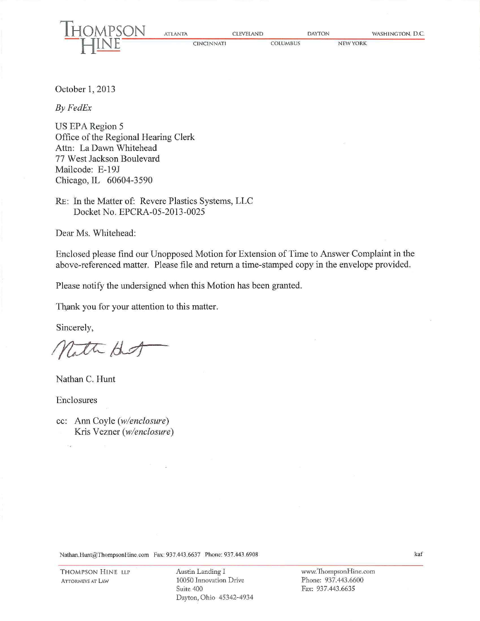| --<br>HOMPSON | <b>ATLANTA</b>    | <b>CLEVELAND</b> | <b>DAYTON</b>   | WASHINGTON, D.C. |
|---------------|-------------------|------------------|-----------------|------------------|
|               | <b>CINCINNATI</b> | <b>COLUMBUS</b>  | <b>NEW YORK</b> |                  |

October 1, 2013

*ByFedEx* 

 $\overline{r}$ 

US EPA Region 5 Office of the Regional Hearing Clerk Attn: La Dawn Whitehead 77 West Jackson Boulevard Mailcode: E-19J Chicago, IL 60604-3590

RE: In the Matter of: Revere Plastics Systems, LLC Docket No. EPCRA-05-2013-0025

Dear Ms. Whitehead:

Enclosed please find our Unopposed Motion for Extension of Time to Answer Complaint in the above-referenced matter. Please file and return a time-stamped copy in the envelope provided.

Please notify the undersigned when this Motion has been granted.

Thank you for your attention to this matter.

Sincerely,

Nath Hot

Nathan C. Hunt

Enclosures

t.e

cc: Ann Coyle *(w/enclosure)*  Kris Vezner *(w/enclosure)* 

Nathan.Hunt@ThompsonHine.com Fax: 937.443.6637 Phone: 937.443.6908

www.ThompsonHine.com Phone: 937.443.6600 Fax: 937.443.6635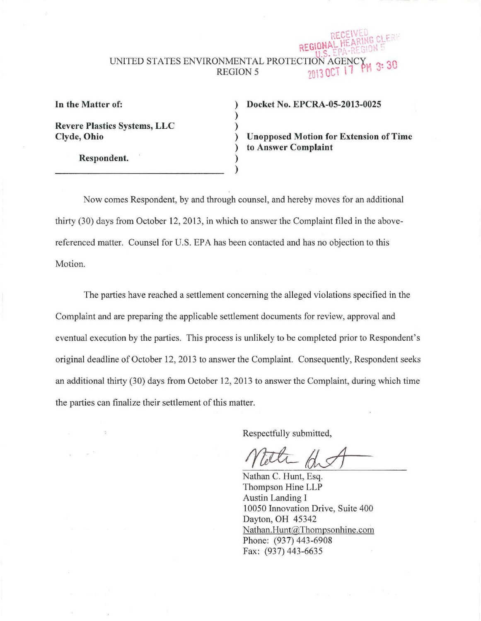## REGION UNITED STATES ENVIRONMENTAL PROTECTION  $3:30$ **REGION 5**

In the Matter of:

Revere Plastics Systems, LLC Clyde, Ohio

Respondent.

## ) Docket No. EPCRA-05-2013-0025

) Unopposed Motion for Extension of Time ) to Answer Complaint

Now comes Respondent, by and through counsel, and hereby moves for an additional thirty (30) days from October 12, 2013, in which to answer the Complaint filed in the abovereferenced matter. Counsel for U.S. EPA has been contacted and has no objection to this Motion.

) )

> ) )

The parties have reached a settlement concerning the alleged violations specified in the Complaint and are preparing the applicable settlement documents for review, approval and eventual execution by the parties. This process is unlikely to be completed prior to Respondent's original deadline of October 12, 2013 to answer the Complaint. Consequently, Respondent seeks an additional thirty (30) days from October 12, 2013 to answer the Complaint, during which time the parties can finalize their settlement of this matter.

Respectfully submitted,

Nathan C. Hunt, Esq. Thompson Hine LLP Austin Landing I 10050 Innovation Drive, Suite 400 Dayton, OH 45342 Nathan.Hunt@Thompsonhine.com Phone: (937) 443-6908 Fax: (937) 443-6635